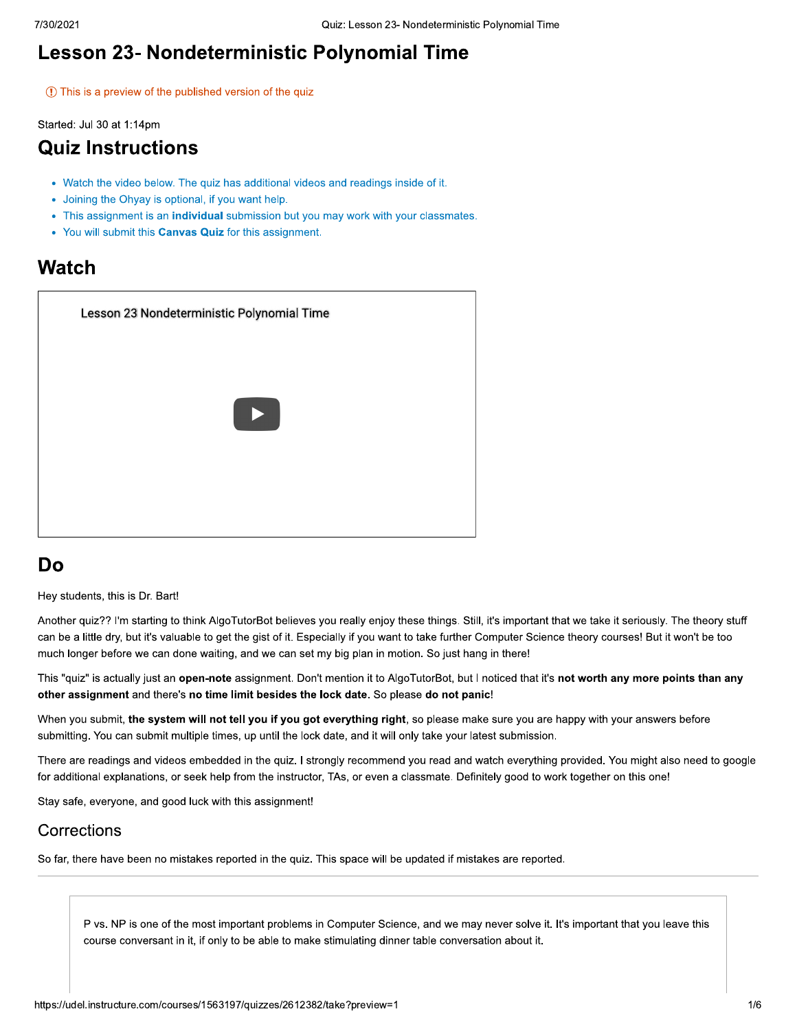## Lesson 23- Nondeterministic Polynomial Time

1) This is a preview of the published version of the quiz

Started: Jul 30 at 1:14pm

## **Quiz Instructions**

- Watch the video below. The quiz has additional videos and readings inside of it.
- Joining the Ohyay is optional, if you want help.
- This assignment is an individual submission but you may work with your classmates.
- You will submit this Canvas Quiz for this assignment.

### Watch

| Lesson 23 Nondeterministic Polynomial Time |
|--------------------------------------------|
|                                            |
| Þ                                          |
|                                            |
|                                            |
|                                            |

## Do

Hey students, this is Dr. Bart!

Another quiz?? I'm starting to think AlgoTutorBot believes you really enjoy these things. Still, it's important that we take it seriously. The theory stuff can be a little dry, but it's valuable to get the gist of it. Especially if you want to take further Computer Science theory courses! But it won't be too much longer before we can done waiting, and we can set my big plan in motion. So just hang in there!

This "quiz" is actually just an open-note assignment. Don't mention it to AlgoTutorBot, but I noticed that it's not worth any more points than any other assignment and there's no time limit besides the lock date. So please do not panic!

When you submit, the system will not tell you if you got everything right, so please make sure you are happy with your answers before submitting. You can submit multiple times, up until the lock date, and it will only take your latest submission.

There are readings and videos embedded in the quiz. I strongly recommend you read and watch everything provided. You might also need to google for additional explanations, or seek help from the instructor, TAs, or even a classmate. Definitely good to work together on this one!

Stay safe, everyone, and good luck with this assignment!

#### Corrections

So far, there have been no mistakes reported in the quiz. This space will be updated if mistakes are reported.

P vs. NP is one of the most important problems in Computer Science, and we may never solve it. It's important that you leave this course conversant in it, if only to be able to make stimulating dinner table conversation about it.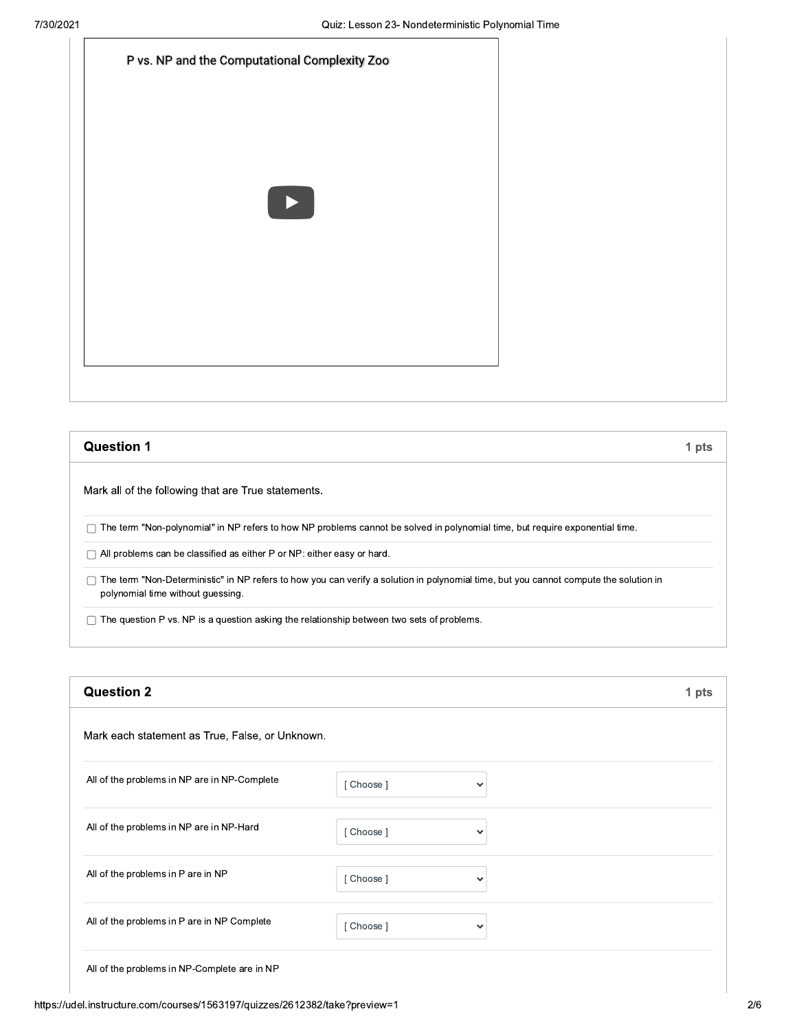| P vs. NP and the Computational Complexity Zoo |
|-----------------------------------------------|
|                                               |
|                                               |
| ▶                                             |
|                                               |
|                                               |
|                                               |

| <b>Question 1</b>                                                                                                                                                          | 1 pts |
|----------------------------------------------------------------------------------------------------------------------------------------------------------------------------|-------|
| Mark all of the following that are True statements.                                                                                                                        |       |
| The term "Non-polynomial" in NP refers to how NP problems cannot be solved in polynomial time, but require exponential time.                                               |       |
| All problems can be classified as either P or NP: either easy or hard.                                                                                                     |       |
| The term "Non-Deterministic" in NP refers to how you can verify a solution in polynomial time, but you cannot compute the solution in<br>polynomial time without guessing. |       |
| The question P vs. NP is a question asking the relationship between two sets of problems.                                                                                  |       |

| <b>Question 2</b>                               |          |              | 1 pts |
|-------------------------------------------------|----------|--------------|-------|
| Mark each statement as True, False, or Unknown. |          |              |       |
| All of the problems in NP are in NP-Complete    | [Choose] | $\checkmark$ |       |
| All of the problems in NP are in NP-Hard        | [Choose] | $\checkmark$ |       |
| All of the problems in P are in NP              | [Choose] | $\checkmark$ |       |
| All of the problems in P are in NP Complete     | [Choose] | $\checkmark$ |       |
|                                                 |          |              |       |

All of the problems in NP-Complete are in NP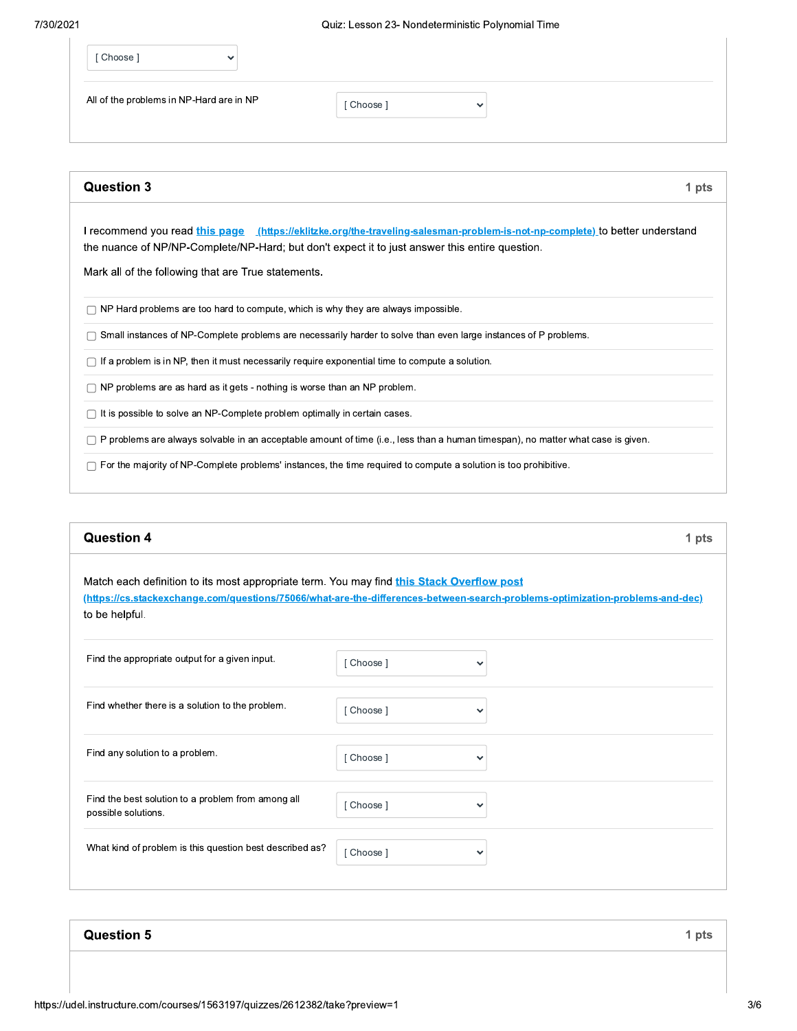| [Choose]                                 | $\sim$ |          |              |
|------------------------------------------|--------|----------|--------------|
| All of the problems in NP-Hard are in NP |        | [Choose] | $\checkmark$ |
|                                          |        |          |              |

| <b>Question 3</b>                                                                                                                                                                                                                                                                               | 1 pts |
|-------------------------------------------------------------------------------------------------------------------------------------------------------------------------------------------------------------------------------------------------------------------------------------------------|-------|
| l recommend you read <u>this page _ (https://eklitzke.org/the-traveling-salesman-problem-is-not-np-complete) t</u> o better understand<br>the nuance of NP/NP-Complete/NP-Hard; but don't expect it to just answer this entire question.<br>Mark all of the following that are True statements. |       |
| NP Hard problems are too hard to compute, which is why they are always impossible.                                                                                                                                                                                                              |       |
| Small instances of NP-Complete problems are necessarily harder to solve than even large instances of P problems.                                                                                                                                                                                |       |
| If a problem is in NP, then it must necessarily require exponential time to compute a solution.                                                                                                                                                                                                 |       |
| NP problems are as hard as it gets - nothing is worse than an NP problem.                                                                                                                                                                                                                       |       |
| It is possible to solve an NP-Complete problem optimally in certain cases.                                                                                                                                                                                                                      |       |
| P problems are always solvable in an acceptable amount of time (i.e., less than a human timespan), no matter what case is given.                                                                                                                                                                |       |
| For the majority of NP-Complete problems' instances, the time required to compute a solution is too prohibitive.                                                                                                                                                                                |       |

#### **Question 4**

1 pts

Match each definition to its most appropriate term. You may find this Stack Overflow post (https://cs.stackexchange.com/questions/75066/what-are-the-differences-between-search-problems-optimization-problems-and-dec) to be helpful.

| Find the appropriate output for a given input.                            | Choose ] | $\checkmark$ |
|---------------------------------------------------------------------------|----------|--------------|
| Find whether there is a solution to the problem.                          | Choose ] | $\checkmark$ |
| Find any solution to a problem.                                           | [Choose] | $\checkmark$ |
| Find the best solution to a problem from among all<br>possible solutions. | Choose 1 | $\checkmark$ |
| What kind of problem is this question best described as?                  | Choose ] | $\checkmark$ |

#### **Question 5**

1 pts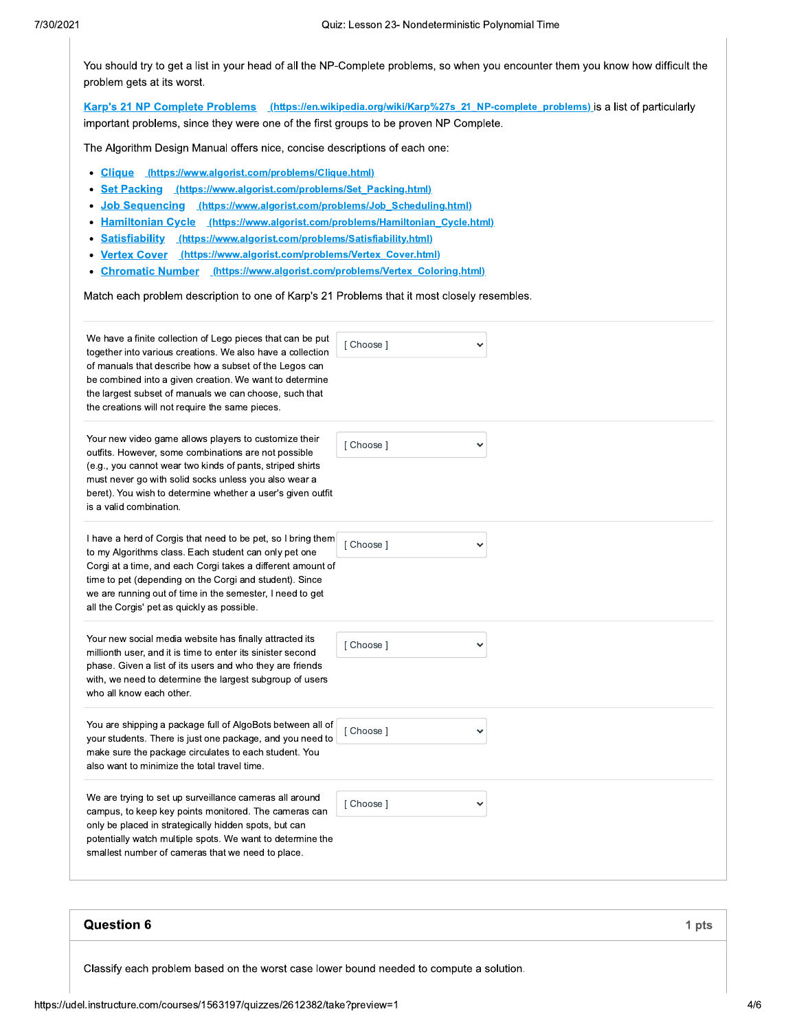You should try to get a list in your head of all the NP-Complete problems, so when you encounter them you know how difficult the problem gets at its worst.

Karp's 21 NP Complete Problems (https://en.wikipedia.org/wiki/Karp%27s 21 NP-complete problems) is a list of particularly important problems, since they were one of the first groups to be proven NP Complete.

The Algorithm Design Manual offers nice, concise descriptions of each one:

- Clique (https://www.algorist.com/problems/Clique.html)
- Set Packing (https://www.algorist.com/problems/Set Packing.html)
- Job Sequencing (https://www.algorist.com/problems/Job Scheduling.html)
- Hamiltonian Cycle (https://www.algorist.com/problems/Hamiltonian\_Cycle.html)
- Satisfiability (https://www.algorist.com/problems/Satisfiability.html)
- Vertex Cover (https://www.algorist.com/problems/Vertex\_Cover.html)
- Chromatic Number (https://www.algorist.com/problems/Vertex\_Coloring.html)

Match each problem description to one of Karp's 21 Problems that it most closely resembles.

| [ Choose ]<br>◡                                             |  |
|-------------------------------------------------------------|--|
| [ Choose ]<br>◡                                             |  |
| [ Choose ]<br>◡                                             |  |
| [ Choose ]<br>◡                                             |  |
| [ Choose ]<br>◡                                             |  |
| [ Choose ]<br>◡                                             |  |
| Corgi at a time, and each Corgi takes a different amount of |  |

# **Question 6**

Classify each problem based on the worst case lower bound needed to compute a solution.

1 pts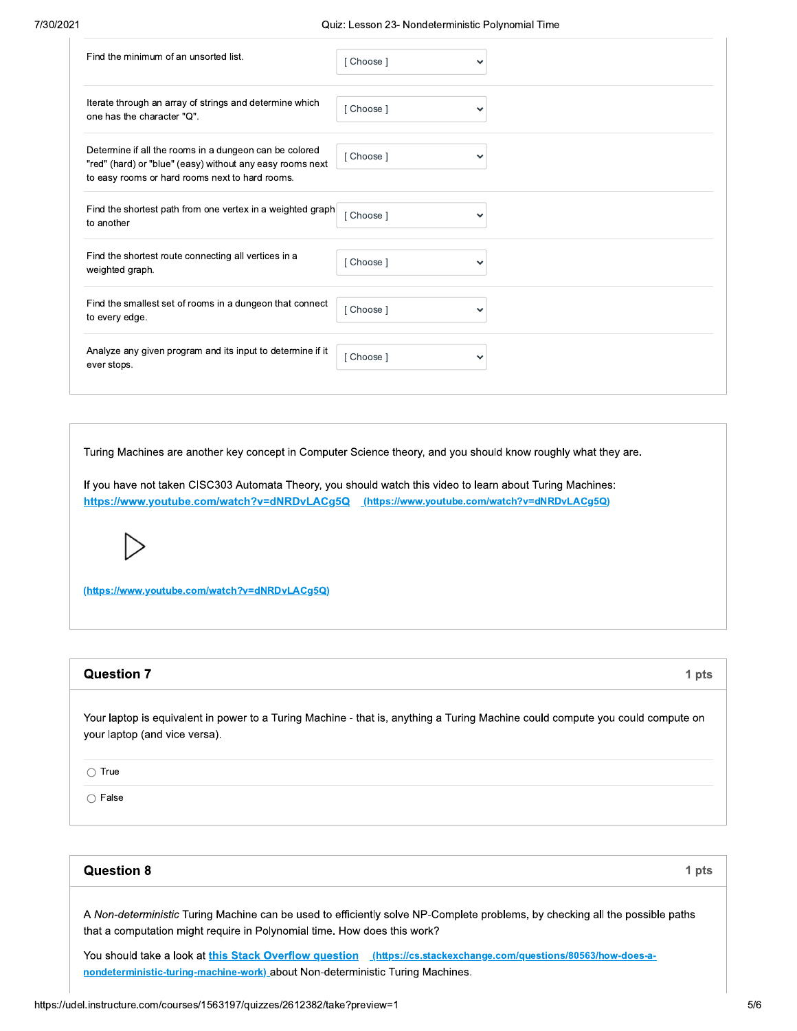| Find the minimum of an unsorted list.                                                                                                                                  | Choose 1 | ◡            |
|------------------------------------------------------------------------------------------------------------------------------------------------------------------------|----------|--------------|
| Iterate through an array of strings and determine which<br>one has the character "Q".                                                                                  | [Choose] | $\checkmark$ |
| Determine if all the rooms in a dungeon can be colored<br>"red" (hard) or "blue" (easy) without any easy rooms next<br>to easy rooms or hard rooms next to hard rooms. | [Choose] | $\checkmark$ |
| Find the shortest path from one vertex in a weighted graph<br>to another                                                                                               | Choose 1 | $\checkmark$ |
| Find the shortest route connecting all vertices in a<br>weighted graph.                                                                                                | Choose ] | ◡            |
| Find the smallest set of rooms in a dungeon that connect<br>to every edge.                                                                                             | [Choose] | ◡            |
| Analyze any given program and its input to determine if it<br>ever stops.                                                                                              | Choose ] | ✓            |

Turing Machines are another key concept in Computer Science theory, and you should know roughly what they are.

If you have not taken CISC303 Automata Theory, you should watch this video to learn about Turing Machines: https://www.youtube.com/watch?v=dNRDvLACg5Q (https://www.youtube.com/watch?v=dNRDvLACg5Q)

(https://www.youtube.com/watch?v=dNRDvLACg5Q)

#### **Question 7**

Your laptop is equivalent in power to a Turing Machine - that is, anything a Turing Machine could compute you could compute on your laptop (and vice versa).

 $\bigcirc$  True

 $\bigcap$  False

#### **Question 8**

1 pts

1 pts

A Non-deterministic Turing Machine can be used to efficiently solve NP-Complete problems, by checking all the possible paths that a computation might require in Polynomial time. How does this work?

You should take a look at this Stack Overflow question (https://cs.stackexchange.com/questions/80563/how-does-anondeterministic-turing-machine-work) about Non-deterministic Turing Machines.